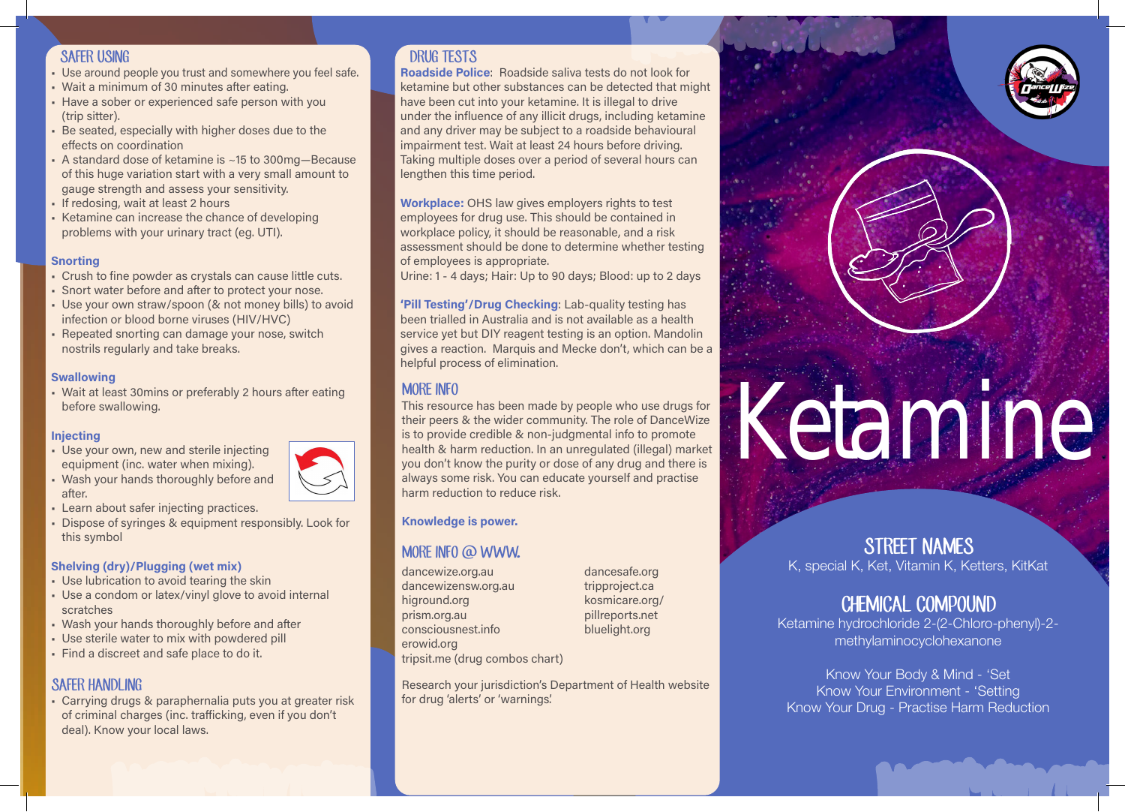#### SAFER USING

- Use around people you trust and somewhere you feel safe.
- Wait a minimum of 30 minutes after eating.
- Have a sober or experienced safe person with you (trip sitter).
- Be seated, especially with higher doses due to the effects on coordination
- A standard dose of ketamine is ~15 to 300mg—Because of this huge variation start with a very small amount to gauge strength and assess your sensitivity.
- If redosing, wait at least 2 hours
- Ketamine can increase the chance of developing problems with your urinary tract (eg. UTI).

#### **Snorting**

- Crush to fine powder as crystals can cause little cuts.
- Snort water before and after to protect your nose.
- Use your own straw/spoon (& not money bills) to avoid infection or blood borne viruses (HIV/HVC)
- Repeated snorting can damage your nose, switch nostrils regularly and take breaks.

#### **Swallowing**

• Wait at least 30mins or preferably 2 hours after eating before swallowing.

#### Injecting

- Use your own, new and sterile injecting equipment (inc. water when mixing).
- Wash your hands thoroughly before and after.
- Learn about safer injecting practices.
- Dispose of syringes & equipment responsibly. Look for this symbol

#### Shelving (dry)/Plugging (wet mix)

- Use lubrication to avoid tearing the skin
- Use a condom or latex/vinyl glove to avoid internal scratches
- Wash your hands thoroughly before and after
- Use sterile water to mix with powdered pill
- Find a discreet and safe place to do it.

#### **SAFER HANDLING**

• Carrying drugs & paraphernalia puts you at greater risk of criminal charges (inc. trafficking, even if you don't deal). Know your local laws.

## DRUG TESTS

Roadside Police: Roadside saliva tests do not look for ketamine but other substances can be detected that might have been cut into your ketamine. It is illegal to drive under the influence of any illicit drugs, including ketamine and any driver may be subject to a roadside behavioural impairment test. Wait at least 24 hours before driving. Taking multiple doses over a period of several hours can lengthen this time period.

Workplace: OHS law gives employers rights to test employees for drug use. This should be contained in workplace policy, it should be reasonable, and a risk assessment should be done to determine whether testing of employees is appropriate.

Urine: 1 - 4 days; Hair: Up to 90 days; Blood: up to 2 days

'Pill Testing'/Drug Checking: Lab-quality testing has been trialled in Australia and is not available as a health service yet but DIY reagent testing is an option. Mandolin gives a reaction. Marquis and Mecke don't, which can be a helpful process of elimination.

This resource has been made by people who use drugs for their peers & the wider community. The role of DanceWize is to provide credible & non-judgmental info to promote health & harm reduction. In an unregulated (illegal) market you don't know the purity or dose of any drug and there is always some risk. You can educate yourself and practise harm reduction to reduce risk.

#### Knowledge is power.

## MORE INFO @ WWW.

dancewize.org.au dancewizensw.org.au higround.org prism.org.au consciousnest.info erowid.org

dancesafe.org tripproject.ca kosmicare.org/ pillreports.net bluelight.org

tripsit.me (drug combos chart)

Research your jurisdiction's Department of Health website for drug 'alerts' or 'warnings'.

## STREET NAMES K, special K, Ket, Vitamin K, Ketters, KitKat

# CHEMICAL COMPOUND

Ketamine

Ketamine hydrochloride 2-(2-Chloro-phenyl)-2 methylaminocyclohexanone

Know Your Body & Mind - 'Set Know Your Environment - 'Setting Know Your Drug - Practise Harm Reduction

# MORE INFO